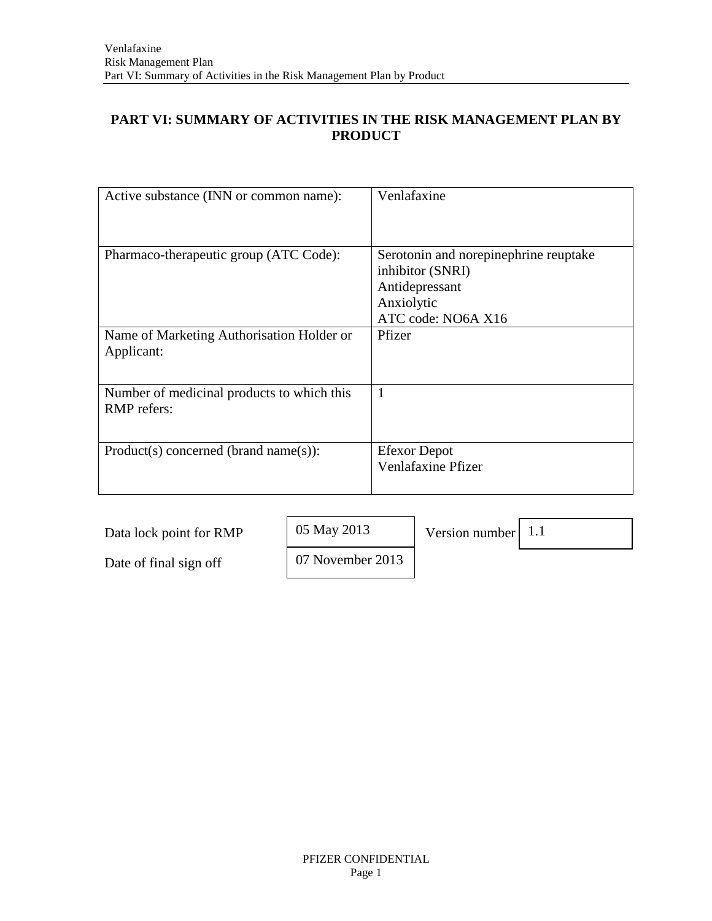# **PART VI: SUMMARY OF ACTIVITIES IN THE RISK MANAGEMENT PLAN BY PRODUCT**

| Active substance (INN or common name):                    | Venlafaxine                                                                                                     |
|-----------------------------------------------------------|-----------------------------------------------------------------------------------------------------------------|
| Pharmaco-therapeutic group (ATC Code):                    | Serotonin and norepinephrine reuptake<br>inhibitor (SNRI)<br>Antidepressant<br>Anxiolytic<br>ATC code: NO6A X16 |
| Name of Marketing Authorisation Holder or<br>Applicant:   | Pfizer                                                                                                          |
| Number of medicinal products to which this<br>RMP refers: | 1                                                                                                               |
| $Product(s) concerned (brand name(s))$ :                  | <b>Efexor</b> Depot<br><b>Venlafaxine Pfizer</b>                                                                |

| Data lock point for RMP | 05 May 2013      | Version number $\vert 1.1 \rangle$ |  |
|-------------------------|------------------|------------------------------------|--|
| Date of final sign off  | 07 November 2013 |                                    |  |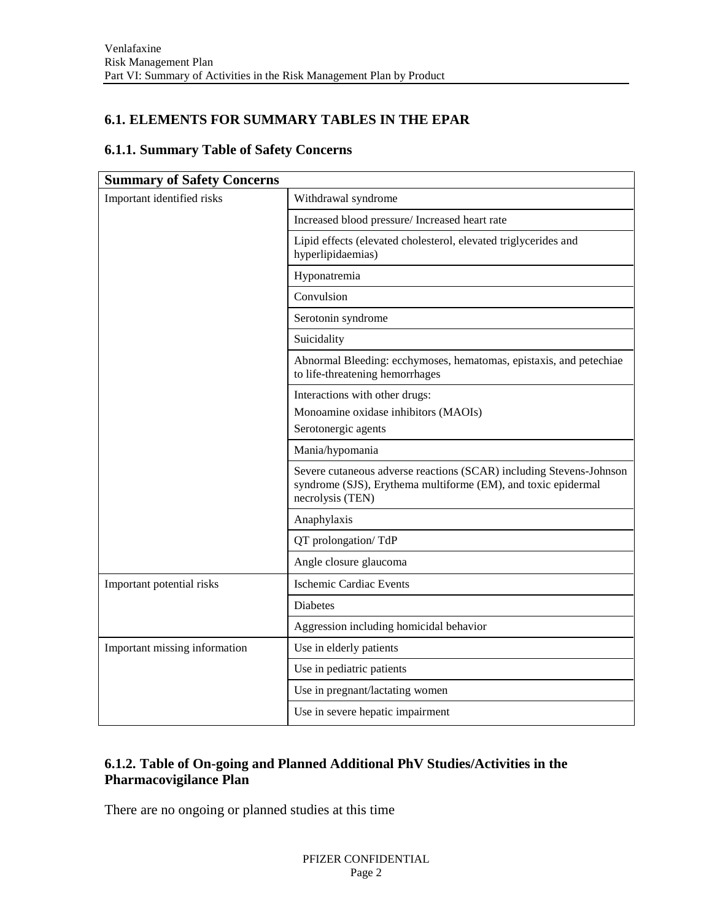## **6.1. ELEMENTS FOR SUMMARY TABLES IN THE EPAR**

#### **6.1.1. Summary Table of Safety Concerns**

| <b>Summary of Safety Concerns</b> |                                                                                                                                                          |  |
|-----------------------------------|----------------------------------------------------------------------------------------------------------------------------------------------------------|--|
| Important identified risks        | Withdrawal syndrome                                                                                                                                      |  |
|                                   | Increased blood pressure/ Increased heart rate                                                                                                           |  |
|                                   | Lipid effects (elevated cholesterol, elevated triglycerides and<br>hyperlipidaemias)                                                                     |  |
|                                   | Hyponatremia                                                                                                                                             |  |
|                                   | Convulsion                                                                                                                                               |  |
|                                   | Serotonin syndrome                                                                                                                                       |  |
|                                   | Suicidality                                                                                                                                              |  |
|                                   | Abnormal Bleeding: ecchymoses, hematomas, epistaxis, and petechiae<br>to life-threatening hemorrhages                                                    |  |
|                                   | Interactions with other drugs:                                                                                                                           |  |
|                                   | Monoamine oxidase inhibitors (MAOIs)                                                                                                                     |  |
|                                   | Serotonergic agents                                                                                                                                      |  |
|                                   | Mania/hypomania                                                                                                                                          |  |
|                                   | Severe cutaneous adverse reactions (SCAR) including Stevens-Johnson<br>syndrome (SJS), Erythema multiforme (EM), and toxic epidermal<br>necrolysis (TEN) |  |
|                                   | Anaphylaxis                                                                                                                                              |  |
|                                   | QT prolongation/TdP                                                                                                                                      |  |
|                                   | Angle closure glaucoma                                                                                                                                   |  |
| Important potential risks         | <b>Ischemic Cardiac Events</b>                                                                                                                           |  |
|                                   | <b>Diabetes</b>                                                                                                                                          |  |
|                                   | Aggression including homicidal behavior                                                                                                                  |  |
| Important missing information     | Use in elderly patients                                                                                                                                  |  |
|                                   | Use in pediatric patients                                                                                                                                |  |
|                                   | Use in pregnant/lactating women                                                                                                                          |  |
|                                   | Use in severe hepatic impairment                                                                                                                         |  |

# **6.1.2. Table of On-going and Planned Additional PhV Studies/Activities in the Pharmacovigilance Plan**

There are no ongoing or planned studies at this time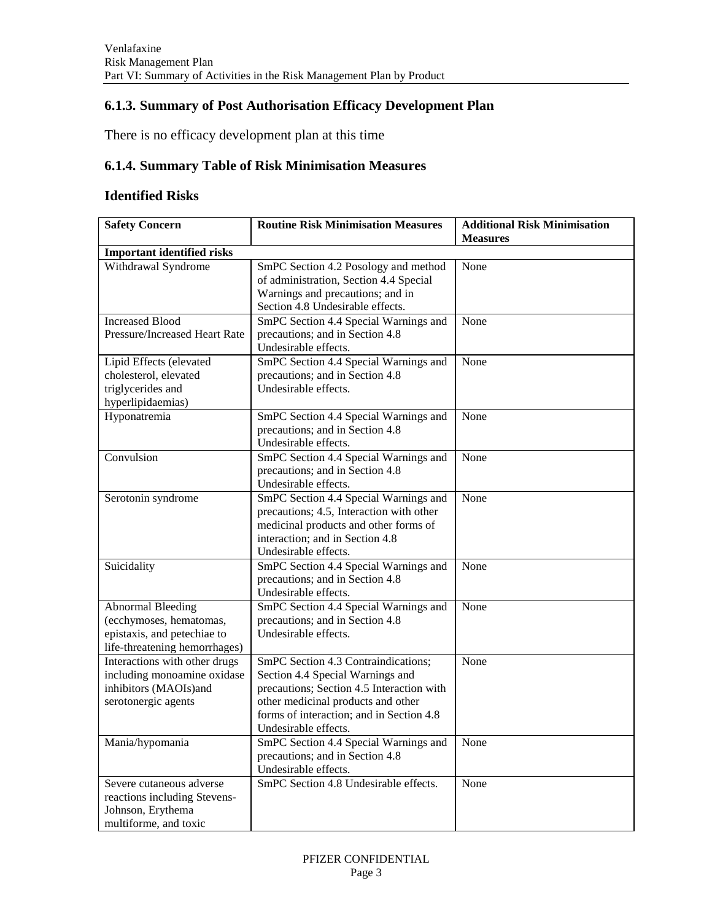## **6.1.3. Summary of Post Authorisation Efficacy Development Plan**

There is no efficacy development plan at this time

# **6.1.4. Summary Table of Risk Minimisation Measures**

#### **Identified Risks**

| <b>Safety Concern</b>             | <b>Routine Risk Minimisation Measures</b> | <b>Additional Risk Minimisation</b> |
|-----------------------------------|-------------------------------------------|-------------------------------------|
|                                   |                                           | <b>Measures</b>                     |
| <b>Important identified risks</b> |                                           |                                     |
| Withdrawal Syndrome               | SmPC Section 4.2 Posology and method      | None                                |
|                                   | of administration, Section 4.4 Special    |                                     |
|                                   | Warnings and precautions; and in          |                                     |
|                                   | Section 4.8 Undesirable effects.          |                                     |
| <b>Increased Blood</b>            | SmPC Section 4.4 Special Warnings and     | None                                |
| Pressure/Increased Heart Rate     | precautions; and in Section 4.8           |                                     |
|                                   | Undesirable effects.                      |                                     |
| Lipid Effects (elevated           | SmPC Section 4.4 Special Warnings and     | None                                |
| cholesterol, elevated             | precautions; and in Section 4.8           |                                     |
| triglycerides and                 | Undesirable effects.                      |                                     |
| hyperlipidaemias)                 |                                           |                                     |
| Hyponatremia                      | SmPC Section 4.4 Special Warnings and     | None                                |
|                                   | precautions; and in Section 4.8           |                                     |
|                                   | Undesirable effects.                      |                                     |
| Convulsion                        | SmPC Section 4.4 Special Warnings and     | None                                |
|                                   | precautions; and in Section 4.8           |                                     |
|                                   | Undesirable effects.                      |                                     |
| Serotonin syndrome                | SmPC Section 4.4 Special Warnings and     | None                                |
|                                   | precautions; 4.5, Interaction with other  |                                     |
|                                   | medicinal products and other forms of     |                                     |
|                                   | interaction; and in Section 4.8           |                                     |
|                                   | Undesirable effects.                      |                                     |
| Suicidality                       | SmPC Section 4.4 Special Warnings and     | None                                |
|                                   | precautions; and in Section 4.8           |                                     |
|                                   | Undesirable effects.                      |                                     |
| <b>Abnormal Bleeding</b>          | SmPC Section 4.4 Special Warnings and     | None                                |
| (ecchymoses, hematomas,           | precautions; and in Section 4.8           |                                     |
| epistaxis, and petechiae to       | Undesirable effects.                      |                                     |
| life-threatening hemorrhages)     |                                           |                                     |
| Interactions with other drugs     | SmPC Section 4.3 Contraindications;       | None                                |
| including monoamine oxidase       | Section 4.4 Special Warnings and          |                                     |
| inhibitors (MAOIs)and             | precautions; Section 4.5 Interaction with |                                     |
| serotonergic agents               | other medicinal products and other        |                                     |
|                                   | forms of interaction; and in Section 4.8  |                                     |
|                                   | Undesirable effects.                      |                                     |
| Mania/hypomania                   | SmPC Section 4.4 Special Warnings and     | None                                |
|                                   | precautions; and in Section 4.8           |                                     |
|                                   | Undesirable effects.                      |                                     |
| Severe cutaneous adverse          | SmPC Section 4.8 Undesirable effects.     | None                                |
| reactions including Stevens-      |                                           |                                     |
| Johnson, Erythema                 |                                           |                                     |
| multiforme, and toxic             |                                           |                                     |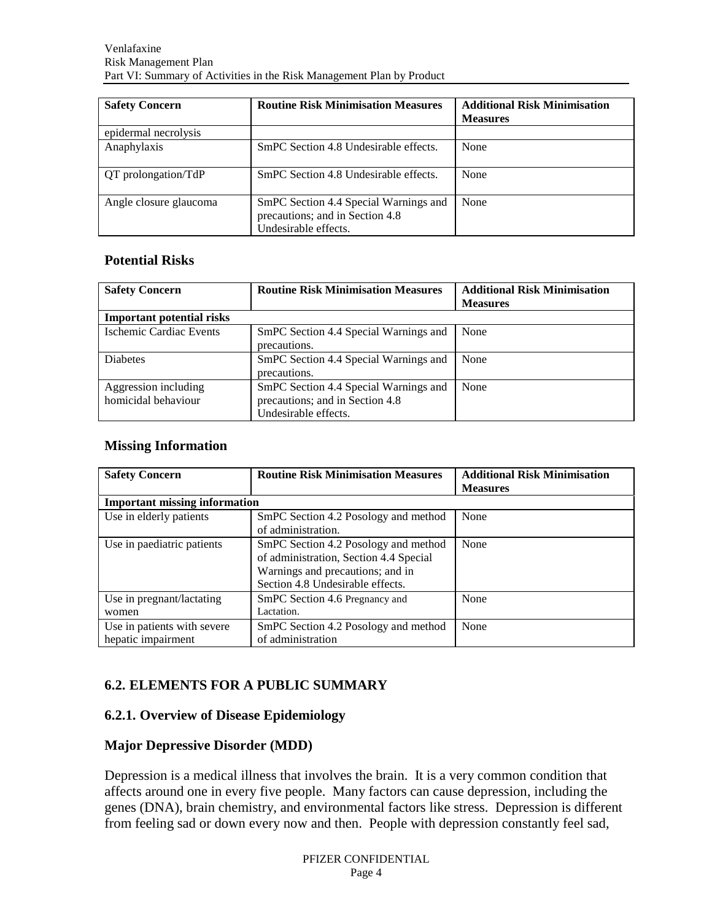| <b>Safety Concern</b>  | <b>Routine Risk Minimisation Measures</b>                                                        | <b>Additional Risk Minimisation</b><br><b>Measures</b> |
|------------------------|--------------------------------------------------------------------------------------------------|--------------------------------------------------------|
| epidermal necrolysis   |                                                                                                  |                                                        |
| Anaphylaxis            | SmPC Section 4.8 Undesirable effects.                                                            | None                                                   |
| QT prolongation/TdP    | SmPC Section 4.8 Undesirable effects.                                                            | None                                                   |
| Angle closure glaucoma | SmPC Section 4.4 Special Warnings and<br>precautions; and in Section 4.8<br>Undesirable effects. | None                                                   |

### **Potential Risks**

| <b>Safety Concern</b>                       | <b>Routine Risk Minimisation Measures</b>                                                        | <b>Additional Risk Minimisation</b><br><b>Measures</b> |
|---------------------------------------------|--------------------------------------------------------------------------------------------------|--------------------------------------------------------|
| <b>Important potential risks</b>            |                                                                                                  |                                                        |
| Ischemic Cardiac Events                     | SmPC Section 4.4 Special Warnings and<br>precautions.                                            | None                                                   |
| <b>Diabetes</b>                             | SmPC Section 4.4 Special Warnings and<br>precautions.                                            | None                                                   |
| Aggression including<br>homicidal behaviour | SmPC Section 4.4 Special Warnings and<br>precautions; and in Section 4.8<br>Undesirable effects. | None                                                   |

### **Missing Information**

| <b>Safety Concern</b>                | <b>Routine Risk Minimisation Measures</b> | <b>Additional Risk Minimisation</b> |
|--------------------------------------|-------------------------------------------|-------------------------------------|
|                                      |                                           | <b>Measures</b>                     |
| <b>Important missing information</b> |                                           |                                     |
| Use in elderly patients              | SmPC Section 4.2 Posology and method      | None                                |
|                                      | of administration.                        |                                     |
| Use in paediatric patients           | SmPC Section 4.2 Posology and method      | None                                |
|                                      | of administration, Section 4.4 Special    |                                     |
|                                      | Warnings and precautions; and in          |                                     |
|                                      | Section 4.8 Undesirable effects.          |                                     |
| Use in pregnant/lactating            | SmPC Section 4.6 Pregnancy and            | None                                |
| women                                | Lactation.                                |                                     |
| Use in patients with severe          | SmPC Section 4.2 Posology and method      | None                                |
| hepatic impairment                   | of administration                         |                                     |

# **6.2. ELEMENTS FOR A PUBLIC SUMMARY**

### **6.2.1. Overview of Disease Epidemiology**

#### **Major Depressive Disorder (MDD)**

Depression is a medical illness that involves the brain. It is a very common condition that affects around one in every five people. Many factors can cause depression, including the genes (DNA), brain chemistry, and environmental factors like stress. Depression is different from feeling sad or down every now and then. People with depression constantly feel sad,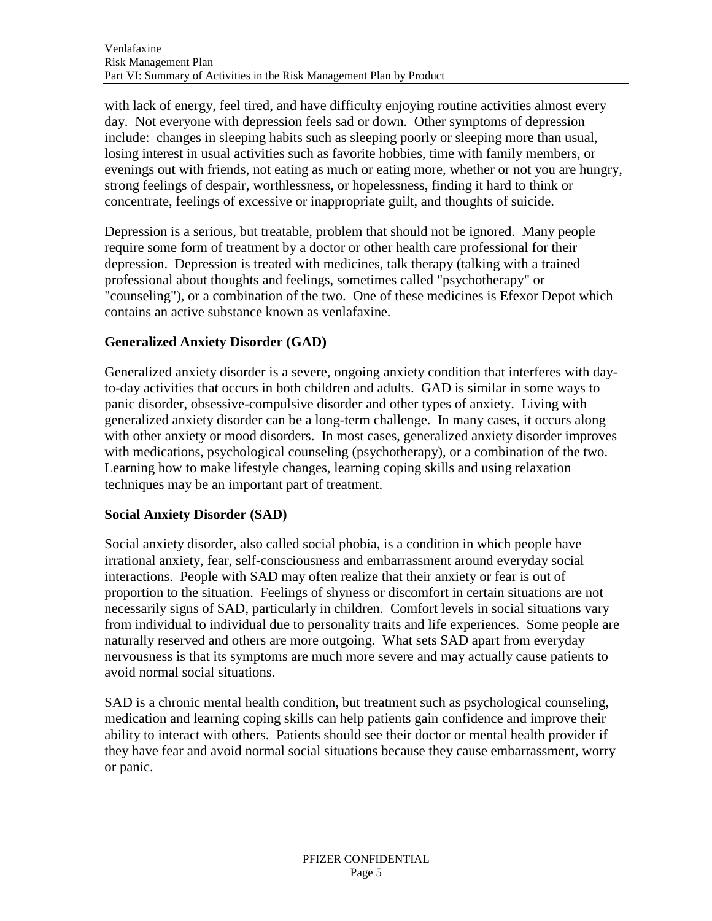with lack of energy, feel tired, and have difficulty enjoying routine activities almost every day. Not everyone with depression feels sad or down. Other symptoms of depression include: changes in sleeping habits such as sleeping poorly or sleeping more than usual, losing interest in usual activities such as favorite hobbies, time with family members, or evenings out with friends, not eating as much or eating more, whether or not you are hungry, strong feelings of despair, worthlessness, or hopelessness, finding it hard to think or concentrate, feelings of excessive or inappropriate guilt, and thoughts of suicide.

Depression is a serious, but treatable, problem that should not be ignored. Many people require some form of treatment by a doctor or other health care professional for their depression. Depression is treated with medicines, talk therapy (talking with a trained professional about thoughts and feelings, sometimes called "psychotherapy" or "counseling"), or a combination of the two. One of these medicines is Efexor Depot which contains an active substance known as venlafaxine.

# **Generalized Anxiety Disorder (GAD)**

Generalized anxiety disorder is a severe, ongoing anxiety condition that interferes with dayto-day activities that occurs in both children and adults. GAD is similar in some ways to panic disorder, obsessive-compulsive disorder and other types of anxiety. Living with generalized anxiety disorder can be a long-term challenge. In many cases, it occurs along with other anxiety or mood disorders. In most cases, generalized anxiety disorder improves with medications, psychological counseling (psychotherapy), or a combination of the two. Learning how to make lifestyle changes, learning coping skills and using relaxation techniques may be an important part of treatment.

# **Social Anxiety Disorder (SAD)**

Social anxiety disorder, also called social phobia, is a condition in which people have irrational anxiety, fear, self-consciousness and embarrassment around everyday social interactions. People with SAD may often realize that their anxiety or fear is out of proportion to the situation. Feelings of shyness or discomfort in certain situations are not necessarily signs of SAD, particularly in children. Comfort levels in social situations vary from individual to individual due to personality traits and life experiences. Some people are naturally reserved and others are more outgoing. What sets SAD apart from everyday nervousness is that its symptoms are much more severe and may actually cause patients to avoid normal social situations.

SAD is a chronic mental health condition, but treatment such as psychological counseling, medication and learning coping skills can help patients gain confidence and improve their ability to interact with others. Patients should see their doctor or mental health provider if they have fear and avoid normal social situations because they cause embarrassment, worry or panic.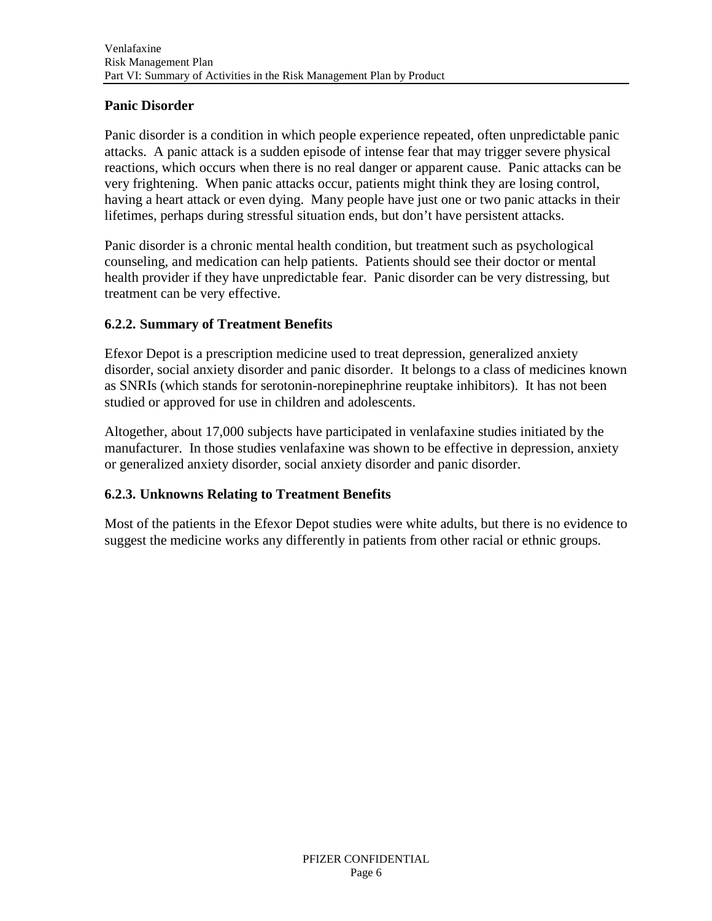## **Panic Disorder**

Panic disorder is a condition in which people experience repeated, often unpredictable panic attacks. A panic attack is a sudden episode of intense fear that may trigger severe physical reactions, which occurs when there is no real danger or apparent cause. Panic attacks can be very frightening. When panic attacks occur, patients might think they are losing control, having a heart attack or even dying. Many people have just one or two panic attacks in their lifetimes, perhaps during stressful situation ends, but don't have persistent attacks.

Panic disorder is a chronic mental health condition, but treatment such as psychological counseling, and medication can help patients. Patients should see their doctor or mental health provider if they have unpredictable fear. Panic disorder can be very distressing, but treatment can be very effective.

### **6.2.2. Summary of Treatment Benefits**

Efexor Depot is a prescription medicine used to treat depression, generalized anxiety disorder, social anxiety disorder and panic disorder. It belongs to a class of medicines known as SNRIs (which stands for serotonin-norepinephrine reuptake inhibitors). It has not been studied or approved for use in children and adolescents.

Altogether, about 17,000 subjects have participated in venlafaxine studies initiated by the manufacturer. In those studies venlafaxine was shown to be effective in depression, anxiety or generalized anxiety disorder, social anxiety disorder and panic disorder.

# **6.2.3. Unknowns Relating to Treatment Benefits**

Most of the patients in the Efexor Depot studies were white adults, but there is no evidence to suggest the medicine works any differently in patients from other racial or ethnic groups.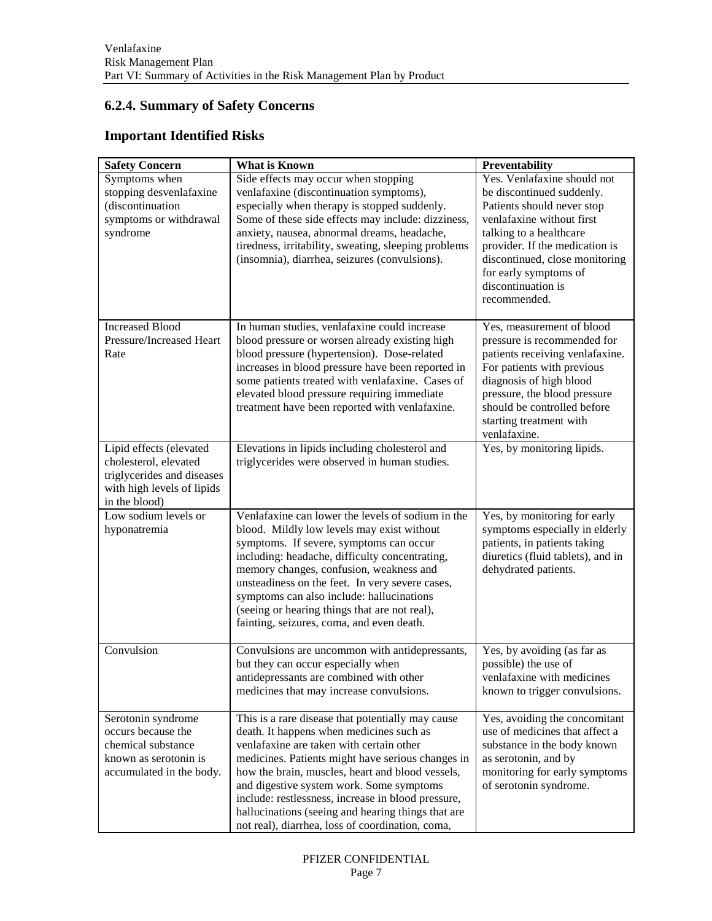# **6.2.4. Summary of Safety Concerns**

## **Important Identified Risks**

| <b>Safety Concern</b>                                                                                                         | <b>What is Known</b>                                                                                                                                                                                                                                                                                                                                                                                                                                           | Preventability                                                                                                                                                                                                                                                                    |
|-------------------------------------------------------------------------------------------------------------------------------|----------------------------------------------------------------------------------------------------------------------------------------------------------------------------------------------------------------------------------------------------------------------------------------------------------------------------------------------------------------------------------------------------------------------------------------------------------------|-----------------------------------------------------------------------------------------------------------------------------------------------------------------------------------------------------------------------------------------------------------------------------------|
| Symptoms when<br>stopping desvenlafaxine<br>(discontinuation<br>symptoms or withdrawal<br>syndrome                            | Side effects may occur when stopping<br>venlafaxine (discontinuation symptoms),<br>especially when therapy is stopped suddenly.<br>Some of these side effects may include: dizziness,<br>anxiety, nausea, abnormal dreams, headache,<br>tiredness, irritability, sweating, sleeping problems<br>(insomnia), diarrhea, seizures (convulsions).                                                                                                                  | Yes. Venlafaxine should not<br>be discontinued suddenly.<br>Patients should never stop<br>venlafaxine without first<br>talking to a healthcare<br>provider. If the medication is<br>discontinued, close monitoring<br>for early symptoms of<br>discontinuation is<br>recommended. |
| <b>Increased Blood</b><br>Pressure/Increased Heart<br>Rate                                                                    | In human studies, venlafaxine could increase<br>blood pressure or worsen already existing high<br>blood pressure (hypertension). Dose-related<br>increases in blood pressure have been reported in<br>some patients treated with venlafaxine. Cases of<br>elevated blood pressure requiring immediate<br>treatment have been reported with venlafaxine.                                                                                                        | Yes, measurement of blood<br>pressure is recommended for<br>patients receiving venlafaxine.<br>For patients with previous<br>diagnosis of high blood<br>pressure, the blood pressure<br>should be controlled before<br>starting treatment with<br>venlafaxine.                    |
| Lipid effects (elevated<br>cholesterol, elevated<br>triglycerides and diseases<br>with high levels of lipids<br>in the blood) | Elevations in lipids including cholesterol and<br>triglycerides were observed in human studies.                                                                                                                                                                                                                                                                                                                                                                | Yes, by monitoring lipids.                                                                                                                                                                                                                                                        |
| Low sodium levels or<br>hyponatremia                                                                                          | Venlafaxine can lower the levels of sodium in the<br>blood. Mildly low levels may exist without<br>symptoms. If severe, symptoms can occur<br>including: headache, difficulty concentrating,<br>memory changes, confusion, weakness and<br>unsteadiness on the feet. In very severe cases,<br>symptoms can also include: hallucinations<br>(seeing or hearing things that are not real),<br>fainting, seizures, coma, and even death.                          | Yes, by monitoring for early<br>symptoms especially in elderly<br>patients, in patients taking<br>diuretics (fluid tablets), and in<br>dehydrated patients.                                                                                                                       |
| Convulsion                                                                                                                    | Convulsions are uncommon with antidepressants,<br>but they can occur especially when<br>antidepressants are combined with other<br>medicines that may increase convulsions.                                                                                                                                                                                                                                                                                    | Yes, by avoiding (as far as<br>possible) the use of<br>venlafaxine with medicines<br>known to trigger convulsions.                                                                                                                                                                |
| Serotonin syndrome<br>occurs because the<br>chemical substance<br>known as serotonin is<br>accumulated in the body.           | This is a rare disease that potentially may cause<br>death. It happens when medicines such as<br>venlafaxine are taken with certain other<br>medicines. Patients might have serious changes in<br>how the brain, muscles, heart and blood vessels,<br>and digestive system work. Some symptoms<br>include: restlessness, increase in blood pressure,<br>hallucinations (seeing and hearing things that are<br>not real), diarrhea, loss of coordination, coma, | Yes, avoiding the concomitant<br>use of medicines that affect a<br>substance in the body known<br>as serotonin, and by<br>monitoring for early symptoms<br>of serotonin syndrome.                                                                                                 |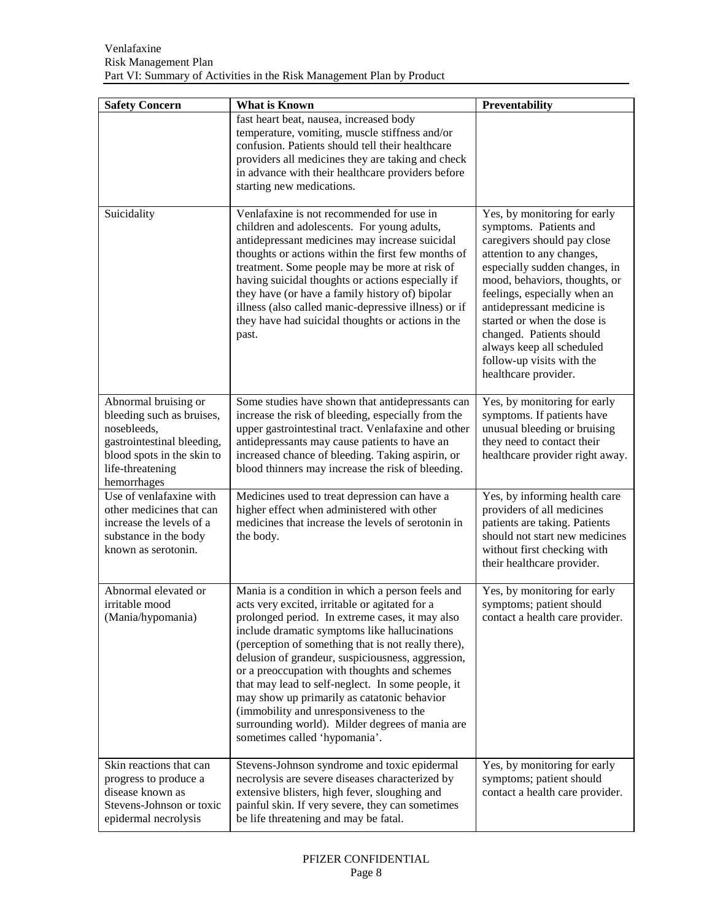| <b>Safety Concern</b>                                                                                                                                           | What is Known                                                                                                                                                                                                                                                                                                                                                                                                                                                                                                                                                                                         | Preventability                                                                                                                                                                                                                                                                                                                                                                                  |
|-----------------------------------------------------------------------------------------------------------------------------------------------------------------|-------------------------------------------------------------------------------------------------------------------------------------------------------------------------------------------------------------------------------------------------------------------------------------------------------------------------------------------------------------------------------------------------------------------------------------------------------------------------------------------------------------------------------------------------------------------------------------------------------|-------------------------------------------------------------------------------------------------------------------------------------------------------------------------------------------------------------------------------------------------------------------------------------------------------------------------------------------------------------------------------------------------|
|                                                                                                                                                                 | fast heart beat, nausea, increased body<br>temperature, vomiting, muscle stiffness and/or<br>confusion. Patients should tell their healthcare<br>providers all medicines they are taking and check<br>in advance with their healthcare providers before<br>starting new medications.                                                                                                                                                                                                                                                                                                                  |                                                                                                                                                                                                                                                                                                                                                                                                 |
| Suicidality                                                                                                                                                     | Venlafaxine is not recommended for use in<br>children and adolescents. For young adults,<br>antidepressant medicines may increase suicidal<br>thoughts or actions within the first few months of<br>treatment. Some people may be more at risk of<br>having suicidal thoughts or actions especially if<br>they have (or have a family history of) bipolar<br>illness (also called manic-depressive illness) or if<br>they have had suicidal thoughts or actions in the<br>past.                                                                                                                       | Yes, by monitoring for early<br>symptoms. Patients and<br>caregivers should pay close<br>attention to any changes,<br>especially sudden changes, in<br>mood, behaviors, thoughts, or<br>feelings, especially when an<br>antidepressant medicine is<br>started or when the dose is<br>changed. Patients should<br>always keep all scheduled<br>follow-up visits with the<br>healthcare provider. |
| Abnormal bruising or<br>bleeding such as bruises,<br>nosebleeds,<br>gastrointestinal bleeding,<br>blood spots in the skin to<br>life-threatening<br>hemorrhages | Some studies have shown that antidepressants can<br>increase the risk of bleeding, especially from the<br>upper gastrointestinal tract. Venlafaxine and other<br>antidepressants may cause patients to have an<br>increased chance of bleeding. Taking aspirin, or<br>blood thinners may increase the risk of bleeding.                                                                                                                                                                                                                                                                               | Yes, by monitoring for early<br>symptoms. If patients have<br>unusual bleeding or bruising<br>they need to contact their<br>healthcare provider right away.                                                                                                                                                                                                                                     |
| Use of venlafaxine with<br>other medicines that can<br>increase the levels of a<br>substance in the body<br>known as serotonin.                                 | Medicines used to treat depression can have a<br>higher effect when administered with other<br>medicines that increase the levels of serotonin in<br>the body.                                                                                                                                                                                                                                                                                                                                                                                                                                        | Yes, by informing health care<br>providers of all medicines<br>patients are taking. Patients<br>should not start new medicines<br>without first checking with<br>their healthcare provider.                                                                                                                                                                                                     |
| Abnormal elevated or<br>irritable mood<br>(Mania/hypomania)                                                                                                     | Mania is a condition in which a person feels and<br>acts very excited, irritable or agitated for a<br>prolonged period. In extreme cases, it may also<br>include dramatic symptoms like hallucinations<br>(perception of something that is not really there),<br>delusion of grandeur, suspiciousness, aggression,<br>or a preoccupation with thoughts and schemes<br>that may lead to self-neglect. In some people, it<br>may show up primarily as catatonic behavior<br>(immobility and unresponsiveness to the<br>surrounding world). Milder degrees of mania are<br>sometimes called 'hypomania'. | Yes, by monitoring for early<br>symptoms; patient should<br>contact a health care provider.                                                                                                                                                                                                                                                                                                     |
| Skin reactions that can<br>progress to produce a<br>disease known as<br>Stevens-Johnson or toxic<br>epidermal necrolysis                                        | Stevens-Johnson syndrome and toxic epidermal<br>necrolysis are severe diseases characterized by<br>extensive blisters, high fever, sloughing and<br>painful skin. If very severe, they can sometimes<br>be life threatening and may be fatal.                                                                                                                                                                                                                                                                                                                                                         | Yes, by monitoring for early<br>symptoms; patient should<br>contact a health care provider.                                                                                                                                                                                                                                                                                                     |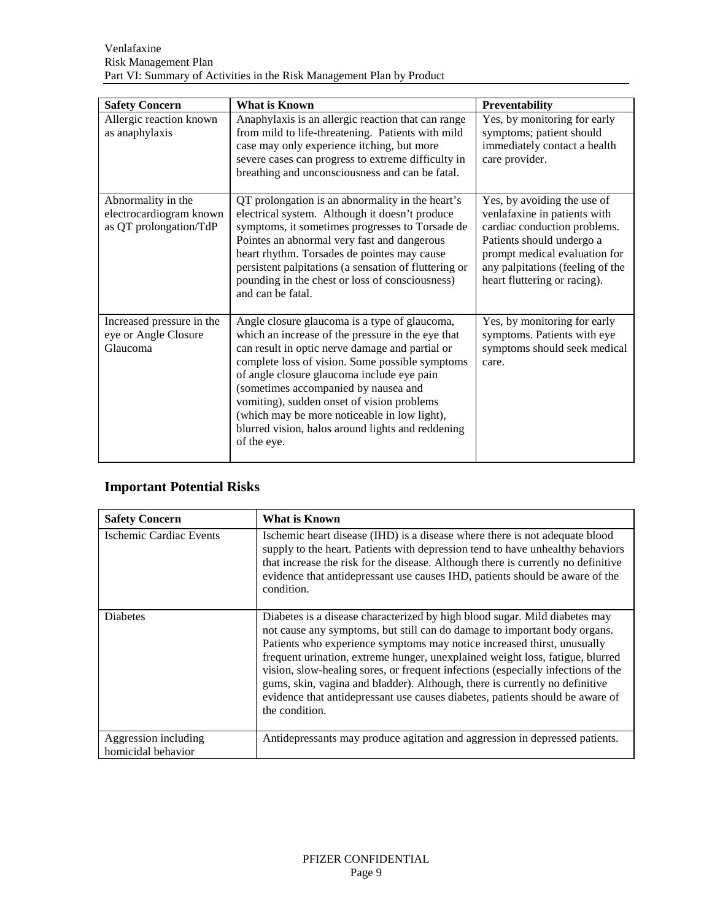| <b>Safety Concern</b>                                                   | What is Known                                                                                                                                                                                                                                                                                                                                                                                                                                                    | Preventability                                                                                                                                                                                                                |
|-------------------------------------------------------------------------|------------------------------------------------------------------------------------------------------------------------------------------------------------------------------------------------------------------------------------------------------------------------------------------------------------------------------------------------------------------------------------------------------------------------------------------------------------------|-------------------------------------------------------------------------------------------------------------------------------------------------------------------------------------------------------------------------------|
| Allergic reaction known<br>as anaphylaxis                               | Anaphylaxis is an allergic reaction that can range<br>from mild to life-threatening. Patients with mild<br>case may only experience itching, but more<br>severe cases can progress to extreme difficulty in<br>breathing and unconsciousness and can be fatal.                                                                                                                                                                                                   | Yes, by monitoring for early<br>symptoms; patient should<br>immediately contact a health<br>care provider.                                                                                                                    |
| Abnormality in the<br>electrocardiogram known<br>as QT prolongation/TdP | QT prolongation is an abnormality in the heart's<br>electrical system. Although it doesn't produce<br>symptoms, it sometimes progresses to Torsade de<br>Pointes an abnormal very fast and dangerous<br>heart rhythm. Torsades de pointes may cause<br>persistent palpitations (a sensation of fluttering or<br>pounding in the chest or loss of consciousness)<br>and can be fatal.                                                                             | Yes, by avoiding the use of<br>venlafaxine in patients with<br>cardiac conduction problems.<br>Patients should undergo a<br>prompt medical evaluation for<br>any palpitations (feeling of the<br>heart fluttering or racing). |
| Increased pressure in the<br>eye or Angle Closure<br>Glaucoma           | Angle closure glaucoma is a type of glaucoma,<br>which an increase of the pressure in the eye that<br>can result in optic nerve damage and partial or<br>complete loss of vision. Some possible symptoms<br>of angle closure glaucoma include eye pain<br>(sometimes accompanied by nausea and<br>vomiting), sudden onset of vision problems<br>(which may be more noticeable in low light),<br>blurred vision, halos around lights and reddening<br>of the eye. | Yes, by monitoring for early<br>symptoms. Patients with eye<br>symptoms should seek medical<br>care.                                                                                                                          |

# **Important Potential Risks**

| <b>Safety Concern</b>                      | What is Known                                                                                                                                                                                                                                                                                                                                                                                                                                                                                                                                                                             |
|--------------------------------------------|-------------------------------------------------------------------------------------------------------------------------------------------------------------------------------------------------------------------------------------------------------------------------------------------------------------------------------------------------------------------------------------------------------------------------------------------------------------------------------------------------------------------------------------------------------------------------------------------|
| Ischemic Cardiac Events                    | Ischemic heart disease (IHD) is a disease where there is not adequate blood<br>supply to the heart. Patients with depression tend to have unhealthy behaviors<br>that increase the risk for the disease. Although there is currently no definitive<br>evidence that antidepressant use causes IHD, patients should be aware of the<br>condition.                                                                                                                                                                                                                                          |
| <b>Diabetes</b>                            | Diabetes is a disease characterized by high blood sugar. Mild diabetes may<br>not cause any symptoms, but still can do damage to important body organs.<br>Patients who experience symptoms may notice increased thirst, unusually<br>frequent urination, extreme hunger, unexplained weight loss, fatigue, blurred<br>vision, slow-healing sores, or frequent infections (especially infections of the<br>gums, skin, vagina and bladder). Although, there is currently no definitive<br>evidence that antidepressant use causes diabetes, patients should be aware of<br>the condition. |
| Aggression including<br>homicidal behavior | Antidepressants may produce agitation and aggression in depressed patients.                                                                                                                                                                                                                                                                                                                                                                                                                                                                                                               |